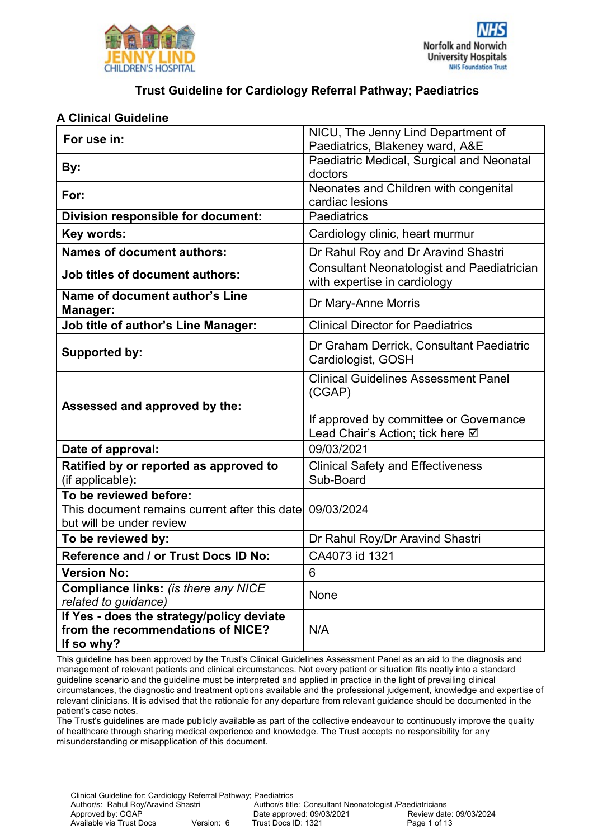



#### **A Clinical Guideline**

| For use in:                                                                                         | NICU, The Jenny Lind Department of<br>Paediatrics, Blakeney ward, A&E             |  |  |
|-----------------------------------------------------------------------------------------------------|-----------------------------------------------------------------------------------|--|--|
| By:                                                                                                 | Paediatric Medical, Surgical and Neonatal<br>doctors                              |  |  |
| For:                                                                                                | Neonates and Children with congenital<br>cardiac lesions                          |  |  |
| Division responsible for document:                                                                  | Paediatrics                                                                       |  |  |
| Key words:                                                                                          | Cardiology clinic, heart murmur                                                   |  |  |
| <b>Names of document authors:</b>                                                                   | Dr Rahul Roy and Dr Aravind Shastri                                               |  |  |
| <b>Job titles of document authors:</b>                                                              | <b>Consultant Neonatologist and Paediatrician</b><br>with expertise in cardiology |  |  |
| Name of document author's Line<br><b>Manager:</b>                                                   | Dr Mary-Anne Morris                                                               |  |  |
| <b>Job title of author's Line Manager:</b>                                                          | <b>Clinical Director for Paediatrics</b>                                          |  |  |
| Supported by:                                                                                       | Dr Graham Derrick, Consultant Paediatric<br>Cardiologist, GOSH                    |  |  |
| Assessed and approved by the:                                                                       | <b>Clinical Guidelines Assessment Panel</b><br>(CGAP)                             |  |  |
|                                                                                                     | If approved by committee or Governance<br>Lead Chair's Action; tick here Ø        |  |  |
| Date of approval:                                                                                   | 09/03/2021                                                                        |  |  |
| Ratified by or reported as approved to<br>(if applicable):                                          | <b>Clinical Safety and Effectiveness</b><br>Sub-Board                             |  |  |
| To be reviewed before:<br>This document remains current after this date<br>but will be under review | 09/03/2024                                                                        |  |  |
| To be reviewed by:                                                                                  | Dr Rahul Roy/Dr Aravind Shastri                                                   |  |  |
| Reference and / or Trust Docs ID No:                                                                | CA4073 id 1321                                                                    |  |  |
| <b>Version No:</b>                                                                                  | $\,6\,$                                                                           |  |  |
| Compliance links: (is there any NICE<br>related to guidance)                                        | None                                                                              |  |  |
| If Yes - does the strategy/policy deviate<br>from the recommendations of NICE?<br>If so why?        | N/A                                                                               |  |  |

This guideline has been approved by the Trust's Clinical Guidelines Assessment Panel as an aid to the diagnosis and management of relevant patients and clinical circumstances. Not every patient or situation fits neatly into a standard guideline scenario and the guideline must be interpreted and applied in practice in the light of prevailing clinical circumstances, the diagnostic and treatment options available and the professional judgement, knowledge and expertise of relevant clinicians. It is advised that the rationale for any departure from relevant guidance should be documented in the patient's case notes.

The Trust's guidelines are made publicly available as part of the collective endeavour to continuously improve the quality of healthcare through sharing medical experience and knowledge. The Trust accepts no responsibility for any misunderstanding or misapplication of this document.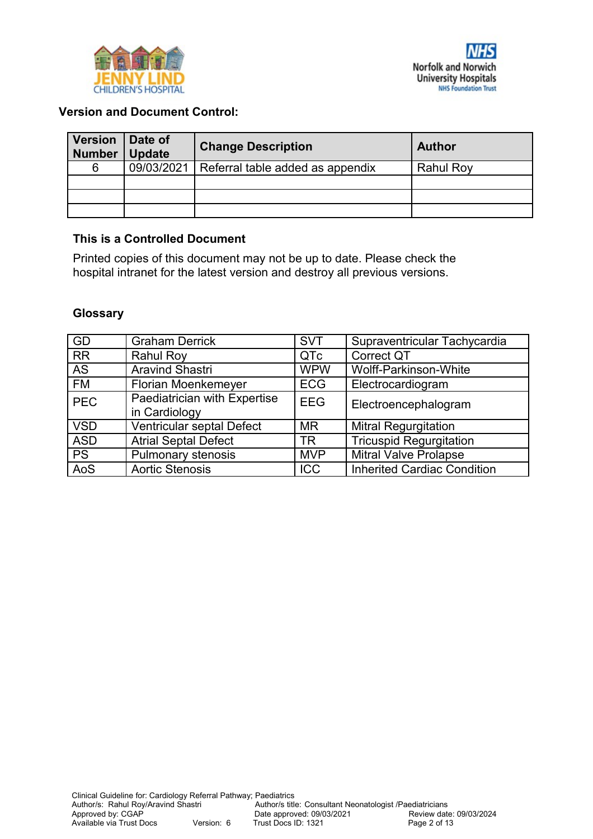



#### **Version and Document Control:**

| <b>Version</b><br><b>Number</b> | Date of<br><b>Update</b> | <b>Change Description</b>        | <b>Author</b>    |
|---------------------------------|--------------------------|----------------------------------|------------------|
| 6                               | 09/03/2021               | Referral table added as appendix | <b>Rahul Roy</b> |
|                                 |                          |                                  |                  |
|                                 |                          |                                  |                  |
|                                 |                          |                                  |                  |

#### **This is a Controlled Document**

Printed copies of this document may not be up to date. Please check the hospital intranet for the latest version and destroy all previous versions.

#### **Glossary**

| GD         | <b>Graham Derrick</b>                         | <b>SVT</b> | Supraventricular Tachycardia       |
|------------|-----------------------------------------------|------------|------------------------------------|
| <b>RR</b>  | <b>Rahul Roy</b>                              | QTc        | <b>Correct QT</b>                  |
| <b>AS</b>  | <b>Aravind Shastri</b>                        | <b>WPW</b> | Wolff-Parkinson-White              |
| <b>FM</b>  | <b>Florian Moenkemeyer</b>                    | <b>ECG</b> | Electrocardiogram                  |
| <b>PEC</b> | Paediatrician with Expertise<br>in Cardiology | <b>EEG</b> | Electroencephalogram               |
| <b>VSD</b> | Ventricular septal Defect                     | <b>MR</b>  | <b>Mitral Regurgitation</b>        |
| <b>ASD</b> | <b>Atrial Septal Defect</b>                   | <b>TR</b>  | <b>Tricuspid Regurgitation</b>     |
| <b>PS</b>  | <b>Pulmonary stenosis</b>                     | <b>MVP</b> | <b>Mitral Valve Prolapse</b>       |
| AoS        | <b>Aortic Stenosis</b>                        | <b>ICC</b> | <b>Inherited Cardiac Condition</b> |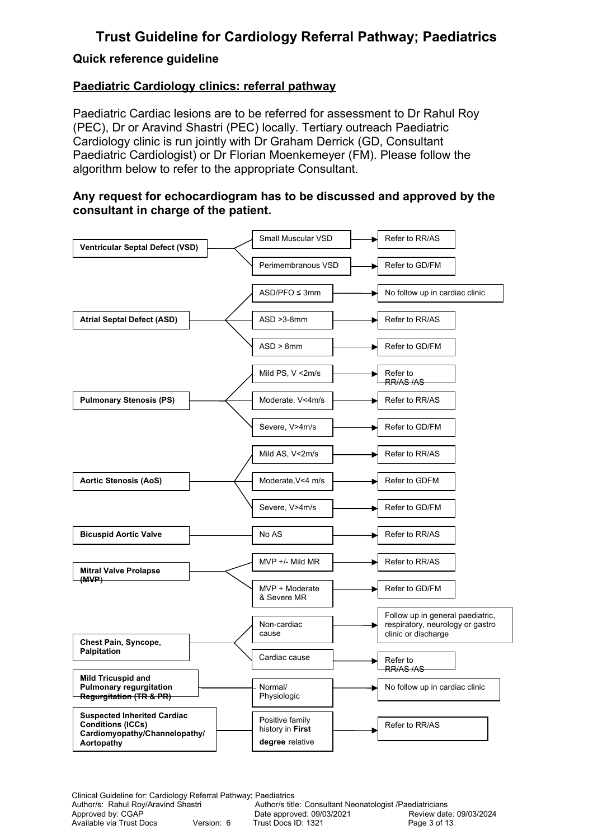#### **Quick reference guideline**

### **Paediatric Cardiology clinics: referral pathway**

Paediatric Cardiac lesions are to be referred for assessment to Dr Rahul Roy (PEC), Dr or Aravind Shastri (PEC) locally. Tertiary outreach Paediatric Cardiology clinic is run jointly with Dr Graham Derrick (GD, Consultant Paediatric Cardiologist) or Dr Florian Moenkemeyer (FM). Please follow the algorithm below to refer to the appropriate Consultant.

#### **Any request for echocardiogram has to be discussed and approved by the consultant in charge of the patient.**

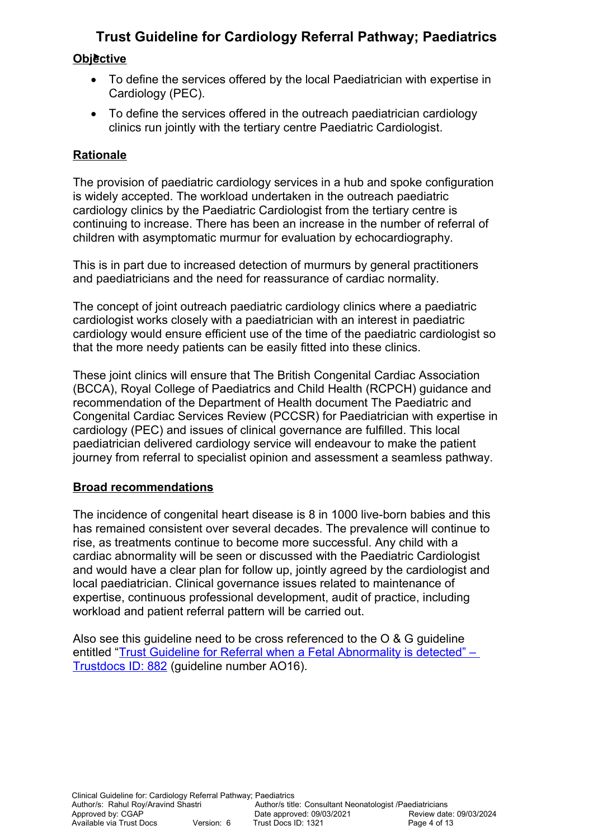### **Objective**

- To define the services offered by the local Paediatrician with expertise in Cardiology (PEC).
- To define the services offered in the outreach paediatrician cardiology clinics run jointly with the tertiary centre Paediatric Cardiologist.

## **Rationale**

The provision of paediatric cardiology services in a hub and spoke configuration is widely accepted. The workload undertaken in the outreach paediatric cardiology clinics by the Paediatric Cardiologist from the tertiary centre is continuing to increase. There has been an increase in the number of referral of children with asymptomatic murmur for evaluation by echocardiography.

This is in part due to increased detection of murmurs by general practitioners and paediatricians and the need for reassurance of cardiac normality.

The concept of joint outreach paediatric cardiology clinics where a paediatric cardiologist works closely with a paediatrician with an interest in paediatric cardiology would ensure efficient use of the time of the paediatric cardiologist so that the more needy patients can be easily fitted into these clinics.

These joint clinics will ensure that The British Congenital Cardiac Association (BCCA), Royal College of Paediatrics and Child Health (RCPCH) guidance and recommendation of the Department of Health document The Paediatric and Congenital Cardiac Services Review (PCCSR) for Paediatrician with expertise in cardiology (PEC) and issues of clinical governance are fulfilled. This local paediatrician delivered cardiology service will endeavour to make the patient journey from referral to specialist opinion and assessment a seamless pathway.

## **Broad recommendations**

The incidence of congenital heart disease is 8 in 1000 live-born babies and this has remained consistent over several decades. The prevalence will continue to rise, as treatments continue to become more successful. Any child with a cardiac abnormality will be seen or discussed with the Paediatric Cardiologist and would have a clear plan for follow up, jointly agreed by the cardiologist and local paediatrician. Clinical governance issues related to maintenance of expertise, continuous professional development, audit of practice, including workload and patient referral pattern will be carried out.

Also see this quideline need to be cross referenced to the O & G quideline entitled "Trust Guideline for Referral when a Fetal Abnormality is detected" -[Trustdocs ID: 882](http://trustdocs/Doc.aspx?id=882) (guideline number AO16).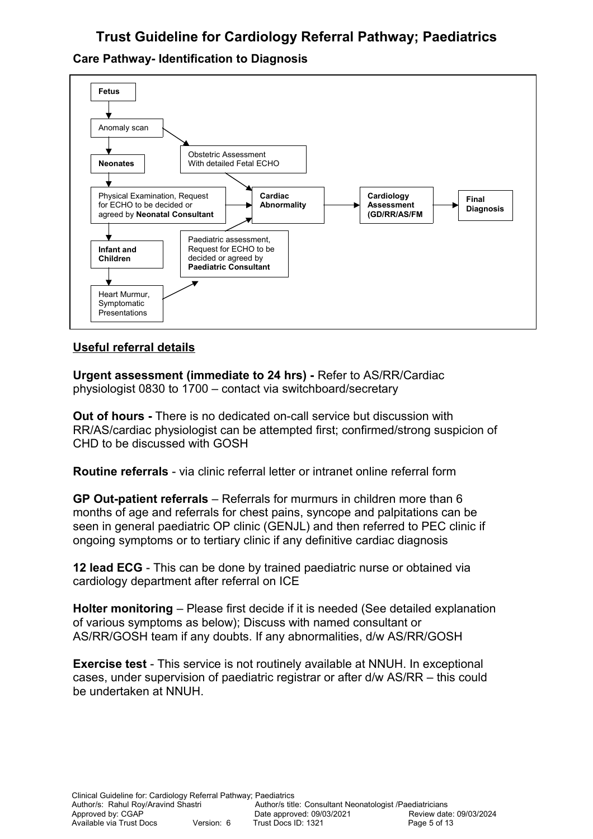## **Care Pathway- Identification to Diagnosis**



## **Useful referral details**

**Urgent assessment (immediate to 24 hrs) -** Refer to AS/RR/Cardiac physiologist 0830 to 1700 – contact via switchboard/secretary

**Out of hours -** There is no dedicated on-call service but discussion with RR/AS/cardiac physiologist can be attempted first; confirmed/strong suspicion of CHD to be discussed with GOSH

**Routine referrals** - via clinic referral letter or intranet online referral form

**GP Out-patient referrals** – Referrals for murmurs in children more than 6 months of age and referrals for chest pains, syncope and palpitations can be seen in general paediatric OP clinic (GENJL) and then referred to PEC clinic if ongoing symptoms or to tertiary clinic if any definitive cardiac diagnosis

**12 lead ECG** - This can be done by trained paediatric nurse or obtained via cardiology department after referral on ICE

**Holter monitoring** – Please first decide if it is needed (See detailed explanation of various symptoms as below); Discuss with named consultant or AS/RR/GOSH team if any doubts. If any abnormalities, d/w AS/RR/GOSH

**Exercise test** - This service is not routinely available at NNUH. In exceptional cases, under supervision of paediatric registrar or after d/w AS/RR – this could be undertaken at NNUH.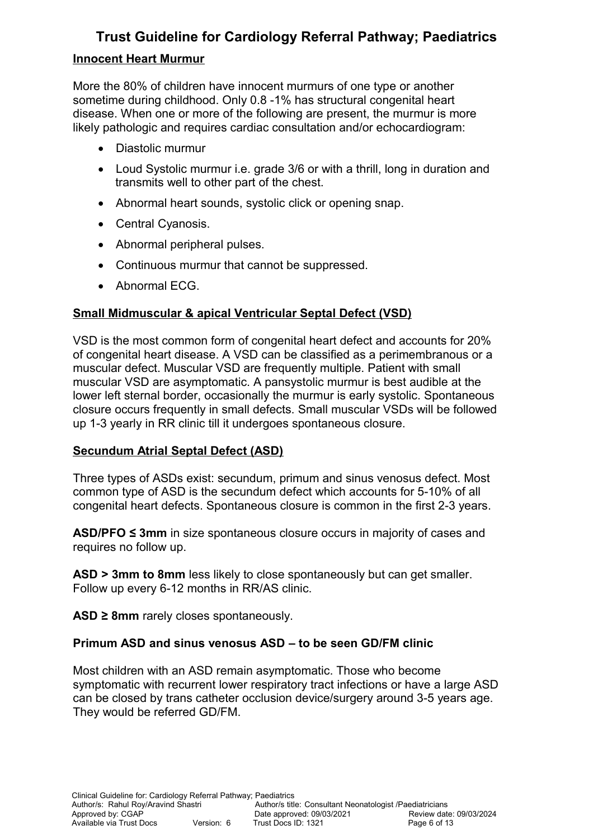### **Innocent Heart Murmur**

More the 80% of children have innocent murmurs of one type or another sometime during childhood. Only 0.8 -1% has structural congenital heart disease. When one or more of the following are present, the murmur is more likely pathologic and requires cardiac consultation and/or echocardiogram:

- Diastolic murmur
- Loud Systolic murmur i.e. grade 3/6 or with a thrill, long in duration and transmits well to other part of the chest.
- Abnormal heart sounds, systolic click or opening snap.
- Central Cyanosis.
- Abnormal peripheral pulses.
- Continuous murmur that cannot be suppressed.
- Abnormal ECG.

## **Small Midmuscular & apical Ventricular Septal Defect (VSD)**

VSD is the most common form of congenital heart defect and accounts for 20% of congenital heart disease. A VSD can be classified as a perimembranous or a muscular defect. Muscular VSD are frequently multiple. Patient with small muscular VSD are asymptomatic. A pansystolic murmur is best audible at the lower left sternal border, occasionally the murmur is early systolic. Spontaneous closure occurs frequently in small defects. Small muscular VSDs will be followed up 1-3 yearly in RR clinic till it undergoes spontaneous closure.

#### **Secundum Atrial Septal Defect (ASD)**

Three types of ASDs exist: secundum, primum and sinus venosus defect. Most common type of ASD is the secundum defect which accounts for 5-10% of all congenital heart defects. Spontaneous closure is common in the first 2-3 years.

**ASD/PFO ≤ 3mm** in size spontaneous closure occurs in majority of cases and requires no follow up.

**ASD > 3mm to 8mm** less likely to close spontaneously but can get smaller. Follow up every 6-12 months in RR/AS clinic.

**ASD ≥ 8mm** rarely closes spontaneously.

#### **Primum ASD and sinus venosus ASD – to be seen GD/FM clinic**

Most children with an ASD remain asymptomatic. Those who become symptomatic with recurrent lower respiratory tract infections or have a large ASD can be closed by trans catheter occlusion device/surgery around 3-5 years age. They would be referred GD/FM.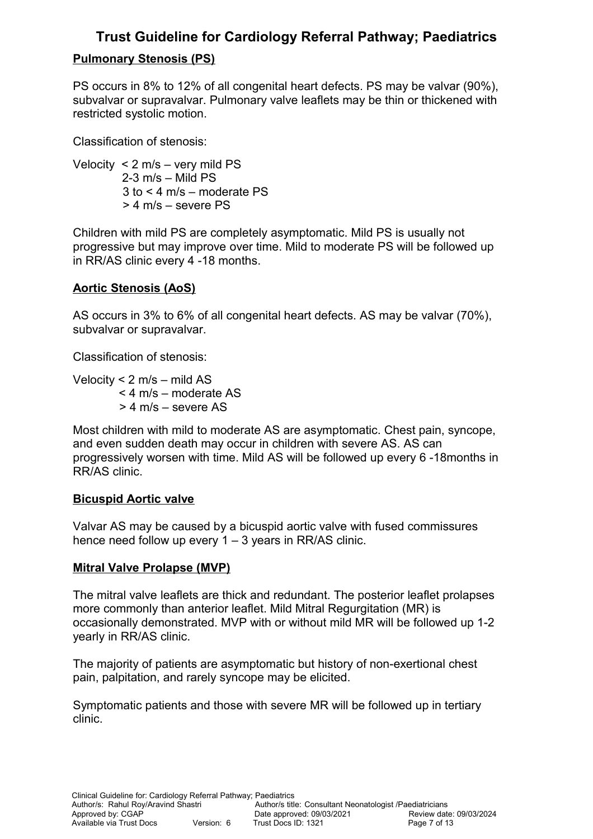# **Pulmonary Stenosis (PS)**

PS occurs in 8% to 12% of all congenital heart defects. PS may be valvar (90%), subvalvar or supravalvar. Pulmonary valve leaflets may be thin or thickened with restricted systolic motion.

Classification of stenosis:

Velocity < 2 m/s – very mild PS 2-3 m/s – Mild PS 3 to < 4 m/s – moderate PS > 4 m/s – severe PS

Children with mild PS are completely asymptomatic. Mild PS is usually not progressive but may improve over time. Mild to moderate PS will be followed up in RR/AS clinic every 4 -18 months.

# **Aortic Stenosis (AoS)**

AS occurs in 3% to 6% of all congenital heart defects. AS may be valvar (70%), subvalvar or supravalvar.

Classification of stenosis:

Velocity < 2 m/s – mild AS < 4 m/s – moderate AS > 4 m/s – severe AS

Most children with mild to moderate AS are asymptomatic. Chest pain, syncope, and even sudden death may occur in children with severe AS. AS can progressively worsen with time. Mild AS will be followed up every 6 -18months in RR/AS clinic.

# **Bicuspid Aortic valve**

Valvar AS may be caused by a bicuspid aortic valve with fused commissures hence need follow up every 1 – 3 years in RR/AS clinic.

# **Mitral Valve Prolapse (MVP)**

The mitral valve leaflets are thick and redundant. The posterior leaflet prolapses more commonly than anterior leaflet. Mild Mitral Regurgitation (MR) is occasionally demonstrated. MVP with or without mild MR will be followed up 1-2 yearly in RR/AS clinic.

The majority of patients are asymptomatic but history of non-exertional chest pain, palpitation, and rarely syncope may be elicited.

Symptomatic patients and those with severe MR will be followed up in tertiary clinic.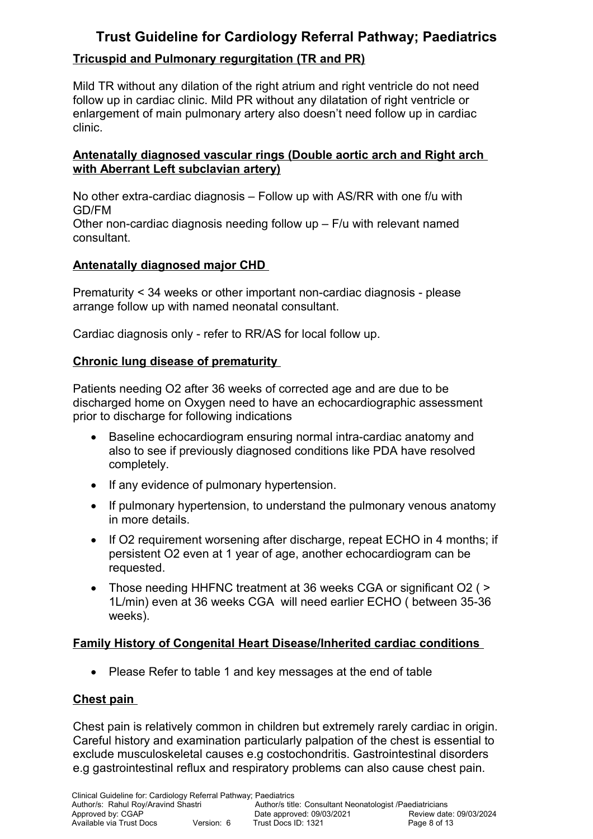# **Tricuspid and Pulmonary regurgitation (TR and PR)**

Mild TR without any dilation of the right atrium and right ventricle do not need follow up in cardiac clinic. Mild PR without any dilatation of right ventricle or enlargement of main pulmonary artery also doesn't need follow up in cardiac clinic.

## **Antenatally diagnosed vascular rings (Double aortic arch and Right arch with Aberrant Left subclavian artery)**

No other extra-cardiac diagnosis – Follow up with AS/RR with one f/u with GD/FM

Other non-cardiac diagnosis needing follow up – F/u with relevant named consultant.

## **Antenatally diagnosed major CHD**

Prematurity < 34 weeks or other important non-cardiac diagnosis - please arrange follow up with named neonatal consultant.

Cardiac diagnosis only - refer to RR/AS for local follow up.

## **Chronic lung disease of prematurity**

Patients needing O2 after 36 weeks of corrected age and are due to be discharged home on Oxygen need to have an echocardiographic assessment prior to discharge for following indications

- Baseline echocardiogram ensuring normal intra-cardiac anatomy and also to see if previously diagnosed conditions like PDA have resolved completely.
- If any evidence of pulmonary hypertension.
- If pulmonary hypertension, to understand the pulmonary venous anatomy in more details.
- $\bullet$  If O2 requirement worsening after discharge, repeat ECHO in 4 months; if persistent O2 even at 1 year of age, another echocardiogram can be requested.
- Those needing HHFNC treatment at 36 weeks CGA or significant O2 ( > 1L/min) even at 36 weeks CGA will need earlier ECHO ( between 35-36 weeks).

## **Family History of Congenital Heart Disease/Inherited cardiac conditions**

• Please Refer to table 1 and key messages at the end of table

## **Chest pain**

Chest pain is relatively common in children but extremely rarely cardiac in origin. Careful history and examination particularly palpation of the chest is essential to exclude musculoskeletal causes e.g costochondritis. Gastrointestinal disorders e.g gastrointestinal reflux and respiratory problems can also cause chest pain.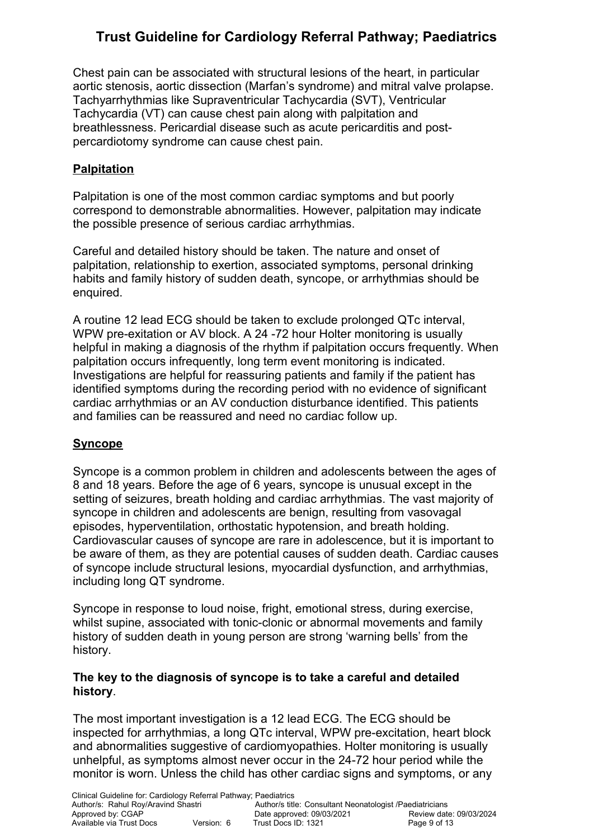Chest pain can be associated with structural lesions of the heart, in particular aortic stenosis, aortic dissection (Marfan's syndrome) and mitral valve prolapse. Tachyarrhythmias like Supraventricular Tachycardia (SVT), Ventricular Tachycardia (VT) can cause chest pain along with palpitation and breathlessness. Pericardial disease such as acute pericarditis and postpercardiotomy syndrome can cause chest pain.

# **Palpitation**

Palpitation is one of the most common cardiac symptoms and but poorly correspond to demonstrable abnormalities. However, palpitation may indicate the possible presence of serious cardiac arrhythmias.

Careful and detailed history should be taken. The nature and onset of palpitation, relationship to exertion, associated symptoms, personal drinking habits and family history of sudden death, syncope, or arrhythmias should be enquired.

A routine 12 lead ECG should be taken to exclude prolonged QTc interval, WPW pre-exitation or AV block. A 24 -72 hour Holter monitoring is usually helpful in making a diagnosis of the rhythm if palpitation occurs frequently. When palpitation occurs infrequently, long term event monitoring is indicated. Investigations are helpful for reassuring patients and family if the patient has identified symptoms during the recording period with no evidence of significant cardiac arrhythmias or an AV conduction disturbance identified. This patients and families can be reassured and need no cardiac follow up.

# **Syncope**

Syncope is a common problem in children and adolescents between the ages of 8 and 18 years. Before the age of 6 years, syncope is unusual except in the setting of seizures, breath holding and cardiac arrhythmias. The vast majority of syncope in children and adolescents are benign, resulting from vasovagal episodes, hyperventilation, orthostatic hypotension, and breath holding. Cardiovascular causes of syncope are rare in adolescence, but it is important to be aware of them, as they are potential causes of sudden death. Cardiac causes of syncope include structural lesions, myocardial dysfunction, and arrhythmias, including long QT syndrome.

Syncope in response to loud noise, fright, emotional stress, during exercise, whilst supine, associated with tonic-clonic or abnormal movements and family history of sudden death in young person are strong 'warning bells' from the history.

#### **The key to the diagnosis of syncope is to take a careful and detailed history**.

The most important investigation is a 12 lead ECG. The ECG should be inspected for arrhythmias, a long QTc interval, WPW pre-excitation, heart block and abnormalities suggestive of cardiomyopathies. Holter monitoring is usually unhelpful, as symptoms almost never occur in the 24-72 hour period while the monitor is worn. Unless the child has other cardiac signs and symptoms, or any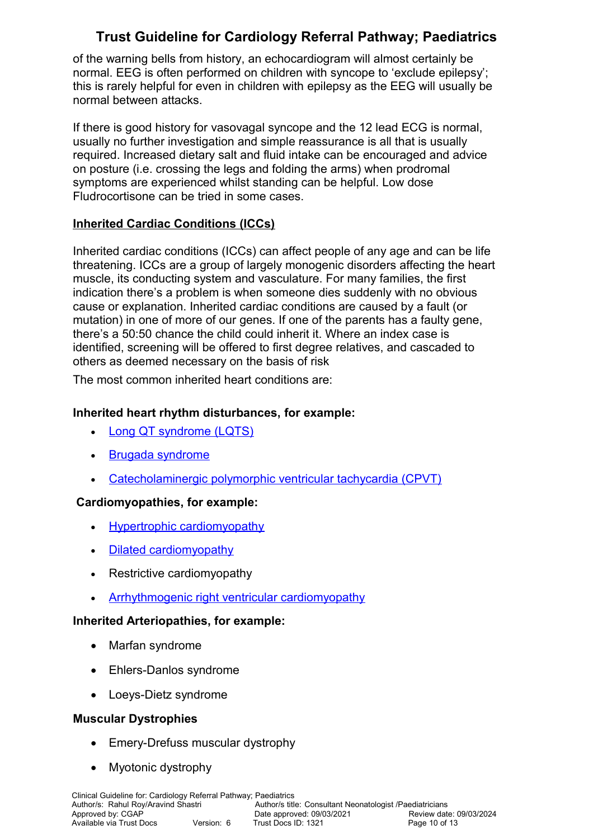of the warning bells from history, an echocardiogram will almost certainly be normal. EEG is often performed on children with syncope to 'exclude epilepsy'; this is rarely helpful for even in children with epilepsy as the EEG will usually be normal between attacks.

If there is good history for vasovagal syncope and the 12 lead ECG is normal, usually no further investigation and simple reassurance is all that is usually required. Increased dietary salt and fluid intake can be encouraged and advice on posture (i.e. crossing the legs and folding the arms) when prodromal symptoms are experienced whilst standing can be helpful. Low dose Fludrocortisone can be tried in some cases.

# **Inherited Cardiac Conditions (ICCs)**

Inherited cardiac conditions (ICCs) can affect people of any age and can be life threatening. ICCs are a group of largely monogenic disorders affecting the heart muscle, its conducting system and vasculature. For many families, the first indication there's a problem is when someone dies suddenly with no obvious cause or explanation. Inherited cardiac conditions are caused by a fault (or mutation) in one of more of our genes. If one of the parents has a faulty gene, there's a 50:50 chance the child could inherit it. Where an index case is identified, screening will be offered to first degree relatives, and cascaded to others as deemed necessary on the basis of risk

The most common inherited heart conditions are:

## **Inherited heart rhythm disturbances, for example:**

- [Long QT syndrome \(LQTS\)](https://www.bhf.org.uk/heart-health/conditions/long-qt-syndrome)
- [Brugada syndrome](https://www.bhf.org.uk/heart-health/conditions/brugada-syndrome)
- [Catecholaminergic polymorphic ventricular tachycardia \(CPVT\)](https://www.bhf.org.uk/heart-health/conditions/cpvt)

## **Cardiomyopathies, for example:**

- [Hypertrophic cardiomyopathy](https://www.bhf.org.uk/heart-health/conditions/cardiomyopathy/hypertrophic-cardiomyopathy)
- [Dilated cardiomyopathy](https://www.bhf.org.uk/heart-health/conditions/cardiomyopathy/dilated-cardiomyopathy)
- Restrictive cardiomyopathy
- [Arrhythmogenic right ventricular cardiomyopathy](https://www.bhf.org.uk/heart-health/conditions/cardiomyopathy/arrhythmogenic-right-ventricular-cardiomyopathy)

## **Inherited Arteriopathies, for example:**

- Marfan syndrome
- Ehlers-Danlos syndrome
- Loeys-Dietz syndrome

## **Muscular Dystrophies**

- Emery-Drefuss muscular dystrophy
- Myotonic dystrophy

Clinical Guideline for: Cardiology Referral Pathway; Paediatrics Author/s: Rahul Roy/Aravind Shastri **Author/s title: Consultant Neonatologist /Paediatricians**<br>Approved by: CGAP **COLOGISTS** Date approved: 09/03/2021 Review date: 09/03/2024 Approved: 09/03/2021 Review date: C<br>
Version: 6 Trust Docs ID: 1321 Page 10 of 13 Available via Trust Docs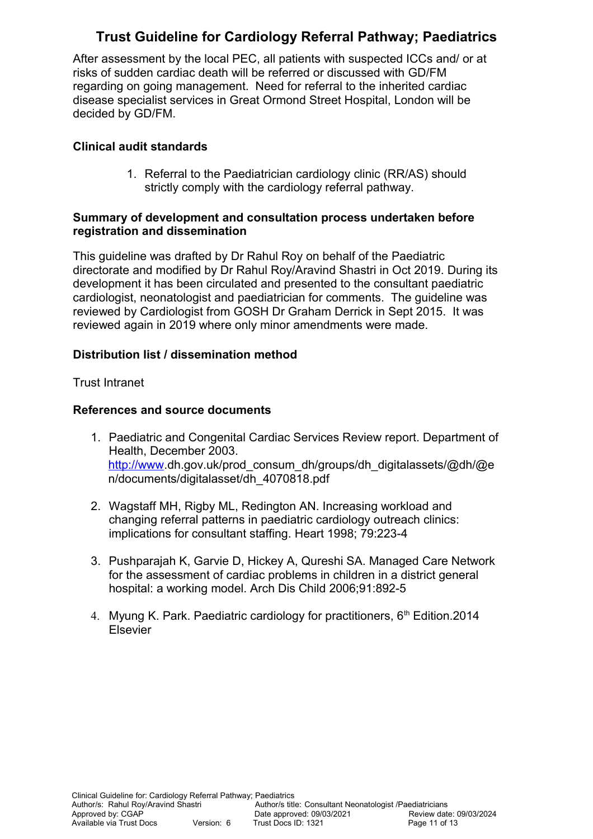After assessment by the local PEC, all patients with suspected ICCs and/ or at risks of sudden cardiac death will be referred or discussed with GD/FM regarding on going management. Need for referral to the inherited cardiac disease specialist services in Great Ormond Street Hospital, London will be decided by GD/FM.

### **Clinical audit standards**

1. Referral to the Paediatrician cardiology clinic (RR/AS) should strictly comply with the cardiology referral pathway.

#### **Summary of development and consultation process undertaken before registration and dissemination**

This guideline was drafted by Dr Rahul Roy on behalf of the Paediatric directorate and modified by Dr Rahul Roy/Aravind Shastri in Oct 2019. During its development it has been circulated and presented to the consultant paediatric cardiologist, neonatologist and paediatrician for comments. The guideline was reviewed by Cardiologist from GOSH Dr Graham Derrick in Sept 2015. It was reviewed again in 2019 where only minor amendments were made.

#### **Distribution list / dissemination method**

#### Trust Intranet

#### **References and source documents**

- 1. Paediatric and Congenital Cardiac Services Review report. Department of Health, December 2003. [http://www.](http://www/)dh.gov.uk/prod\_consum\_dh/groups/dh\_digitalassets/@dh/@e n/documents/digitalasset/dh\_4070818.pdf
- 2. Wagstaff MH, Rigby ML, Redington AN. Increasing workload and changing referral patterns in paediatric cardiology outreach clinics: implications for consultant staffing. Heart 1998; 79:223-4
- 3. Pushparajah K, Garvie D, Hickey A, Qureshi SA. Managed Care Network for the assessment of cardiac problems in children in a district general hospital: a working model. Arch Dis Child 2006;91:892-5
- 4. Myung K. Park. Paediatric cardiology for practitioners, 6<sup>th</sup> Edition.2014 Elsevier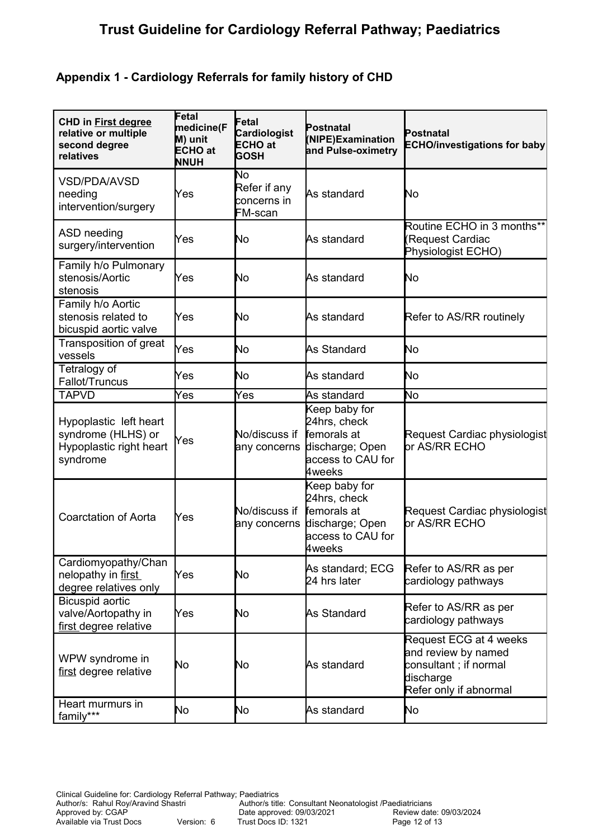## **Appendix 1 - Cardiology Referrals for family history of CHD**

| <b>CHD in First degree</b><br>relative or multiple<br>second degree<br>relatives    | Fetal<br>medicine(F<br>M) unit<br><b>ECHO</b> at<br><b>NNUH</b> | Fetal<br>Cardiologist<br><b>ECHO</b> at<br><b>GOSH</b> | Postnatal<br>(NIPE)Examination<br>and Pulse-oximetry                                                  | Postnatal<br><b>ECHO/investigations for baby</b>                                                              |
|-------------------------------------------------------------------------------------|-----------------------------------------------------------------|--------------------------------------------------------|-------------------------------------------------------------------------------------------------------|---------------------------------------------------------------------------------------------------------------|
| <b>VSD/PDA/AVSD</b><br>needing<br>intervention/surgery                              | Yes                                                             | No<br>Refer if any<br>concerns in<br>FM-scan           | As standard                                                                                           | No                                                                                                            |
| ASD needing<br>surgery/intervention                                                 | Yes                                                             | No                                                     | As standard                                                                                           | Routine ECHO in 3 months**<br>Request Cardiac<br>Physiologist ECHO)                                           |
| Family h/o Pulmonary<br>stenosis/Aortic<br>stenosis                                 | Yes                                                             | No                                                     | As standard                                                                                           | No                                                                                                            |
| Family h/o Aortic<br>stenosis related to<br>bicuspid aortic valve                   | Yes                                                             | No                                                     | As standard                                                                                           | Refer to AS/RR routinely                                                                                      |
| Transposition of great<br>vessels                                                   | Yes                                                             | No                                                     | As Standard                                                                                           | No                                                                                                            |
| Tetralogy of<br>Fallot/Truncus                                                      | Yes                                                             | No                                                     | As standard                                                                                           | No                                                                                                            |
| <b>TAPVD</b>                                                                        | Yes                                                             | Yes                                                    | As standard                                                                                           | No                                                                                                            |
| Hypoplastic left heart<br>syndrome (HLHS) or<br>Hypoplastic right heart<br>syndrome | Yes                                                             | No/discuss if<br>any concerns                          | Keep baby for<br>24hrs, check<br>femorals at<br>discharge; Open<br>access to CAU for<br>4weeks        | Request Cardiac physiologist<br>br AS/RR ECHO                                                                 |
| <b>Coarctation of Aorta</b>                                                         | Yes                                                             | No/discuss if<br>any concerns                          | Keep baby for<br>24hrs, check<br>femorals at<br>discharge; Open<br>access to CAU for<br><b>Aweeks</b> | Request Cardiac physiologist<br>or AS/RR ECHO                                                                 |
| Cardiomyopathy/Chan<br>nelopathy in first<br>degree relatives only                  | Yes                                                             | No                                                     | As standard; ECG<br>24 hrs later                                                                      | Refer to AS/RR as per<br>cardiology pathways                                                                  |
| Bicuspid aortic<br>valve/Aortopathy in<br>first degree relative                     | Yes                                                             | No                                                     | As Standard                                                                                           | Refer to AS/RR as per<br>cardiology pathways                                                                  |
| WPW syndrome in<br>first degree relative                                            | No                                                              | No                                                     | As standard                                                                                           | Request ECG at 4 weeks<br>and review by named<br>consultant; if normal<br>discharge<br>Refer only if abnormal |
| Heart murmurs in<br>family***                                                       | No                                                              | No                                                     | As standard                                                                                           | No                                                                                                            |